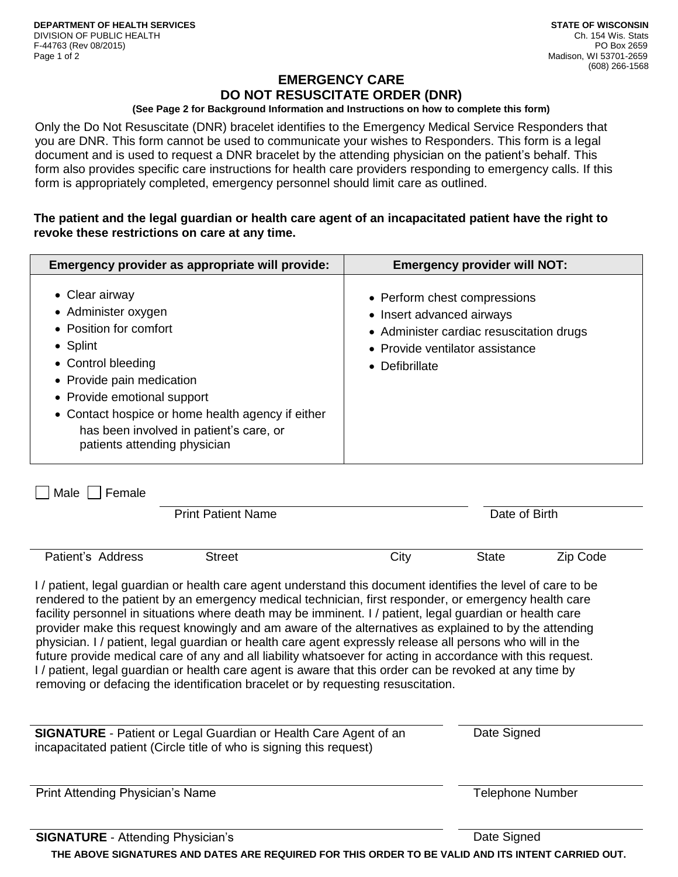# **EMERGENCY CARE DO NOT RESUSCITATE ORDER (DNR)**

## **(See Page 2 for Background Information and Instructions on how to complete this form)**

Only the Do Not Resuscitate (DNR) bracelet identifies to the Emergency Medical Service Responders that you are DNR. This form cannot be used to communicate your wishes to Responders. This form is a legal document and is used to request a DNR bracelet by the attending physician on the patient's behalf. This form also provides specific care instructions for health care providers responding to emergency calls. If this form is appropriately completed, emergency personnel should limit care as outlined.

# **The patient and the legal guardian or health care agent of an incapacitated patient have the right to revoke these restrictions on care at any time.**

| Emergency provider as appropriate will provide:                                                                                                                                                                                                                                                       | <b>Emergency provider will NOT:</b>                                                                                                                        |
|-------------------------------------------------------------------------------------------------------------------------------------------------------------------------------------------------------------------------------------------------------------------------------------------------------|------------------------------------------------------------------------------------------------------------------------------------------------------------|
| • Clear airway<br>• Administer oxygen<br>• Position for comfort<br>$\bullet$ Splint<br>• Control bleeding<br>• Provide pain medication<br>• Provide emotional support<br>• Contact hospice or home health agency if either<br>has been involved in patient's care, or<br>patients attending physician | • Perform chest compressions<br>• Insert advanced airways<br>• Administer cardiac resuscitation drugs<br>• Provide ventilator assistance<br>• Defibrillate |

 $\Box$  Male  $\Box$  Female

|                   | <b>Print Patient Name</b> |      | Date of Birth |          |  |
|-------------------|---------------------------|------|---------------|----------|--|
|                   |                           |      |               |          |  |
| Patient's Address | Street                    | City | State         | Zip Code |  |

I / patient, legal guardian or health care agent understand this document identifies the level of care to be rendered to the patient by an emergency medical technician, first responder, or emergency health care facility personnel in situations where death may be imminent. I / patient, legal guardian or health care provider make this request knowingly and am aware of the alternatives as explained to by the attending physician. I / patient, legal guardian or health care agent expressly release all persons who will in the future provide medical care of any and all liability whatsoever for acting in accordance with this request. I / patient, legal guardian or health care agent is aware that this order can be revoked at any time by removing or defacing the identification bracelet or by requesting resuscitation.

| <b>SIGNATURE</b> - Patient or Legal Guardian or Health Care Agent of an | Date Signed |  |
|-------------------------------------------------------------------------|-------------|--|
| incapacitated patient (Circle title of who is signing this request)     |             |  |
|                                                                         |             |  |

Print Attending Physician's Name Telephone Number and Telephone Number

**SIGNATURE** - Attending Physician's **Date Signed** Date Signed

**THE ABOVE SIGNATURES AND DATES ARE REQUIRED FOR THIS ORDER TO BE VALID AND ITS INTENT CARRIED OUT.**